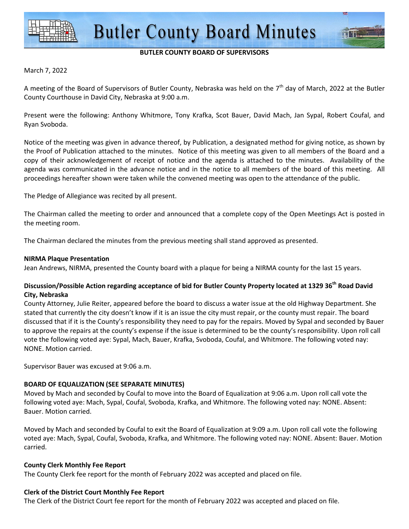

## **BUTLER COUNTY BOARD OF SUPERVISORS**

### March 7, 2022

A meeting of the Board of Supervisors of Butler County, Nebraska was held on the  $7<sup>th</sup>$  day of March, 2022 at the Butler County Courthouse in David City, Nebraska at 9:00 a.m.

Present were the following: Anthony Whitmore, Tony Krafka, Scot Bauer, David Mach, Jan Sypal, Robert Coufal, and Ryan Svoboda.

Notice of the meeting was given in advance thereof, by Publication, a designated method for giving notice, as shown by the Proof of Publication attached to the minutes. Notice of this meeting was given to all members of the Board and a copy of their acknowledgement of receipt of notice and the agenda is attached to the minutes. Availability of the agenda was communicated in the advance notice and in the notice to all members of the board of this meeting. All proceedings hereafter shown were taken while the convened meeting was open to the attendance of the public.

The Pledge of Allegiance was recited by all present.

The Chairman called the meeting to order and announced that a complete copy of the Open Meetings Act is posted in the meeting room.

The Chairman declared the minutes from the previous meeting shall stand approved as presented.

### **NIRMA Plaque Presentation**

Jean Andrews, NIRMA, presented the County board with a plaque for being a NIRMA county for the last 15 years.

# **Discussion/Possible Action regarding acceptance of bid for Butler County Property located at 1329 36th Road David City, Nebraska**

County Attorney, Julie Reiter, appeared before the board to discuss a water issue at the old Highway Department. She stated that currently the city doesn't know if it is an issue the city must repair, or the county must repair. The board discussed that if it is the County's responsibility they need to pay for the repairs. Moved by Sypal and seconded by Bauer to approve the repairs at the county's expense if the issue is determined to be the county's responsibility. Upon roll call vote the following voted aye: Sypal, Mach, Bauer, Krafka, Svoboda, Coufal, and Whitmore. The following voted nay: NONE. Motion carried.

Supervisor Bauer was excused at 9:06 a.m.

## **BOARD OF EQUALIZATION (SEE SEPARATE MINUTES)**

Moved by Mach and seconded by Coufal to move into the Board of Equalization at 9:06 a.m. Upon roll call vote the following voted aye: Mach, Sypal, Coufal, Svoboda, Krafka, and Whitmore. The following voted nay: NONE. Absent: Bauer. Motion carried.

Moved by Mach and seconded by Coufal to exit the Board of Equalization at 9:09 a.m. Upon roll call vote the following voted aye: Mach, Sypal, Coufal, Svoboda, Krafka, and Whitmore. The following voted nay: NONE. Absent: Bauer. Motion carried.

#### **County Clerk Monthly Fee Report**

The County Clerk fee report for the month of February 2022 was accepted and placed on file.

## **Clerk of the District Court Monthly Fee Report**

The Clerk of the District Court fee report for the month of February 2022 was accepted and placed on file.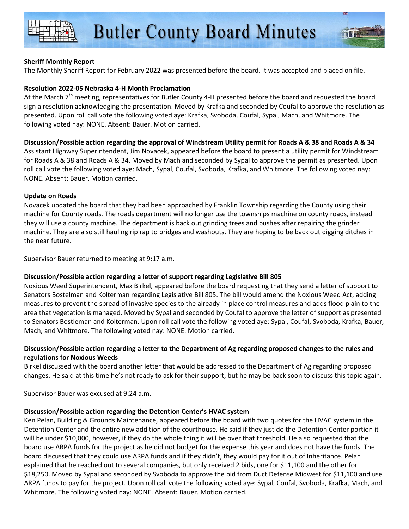The Monthly Sheriff Report for February 2022 was presented before the board. It was accepted and placed on file.

# **Resolution 2022-05 Nebraska 4-H Month Proclamation**

At the March  $7<sup>th</sup>$  meeting, representatives for Butler County 4-H presented before the board and requested the board sign a resolution acknowledging the presentation. Moved by Krafka and seconded by Coufal to approve the resolution as presented. Upon roll call vote the following voted aye: Krafka, Svoboda, Coufal, Sypal, Mach, and Whitmore. The following voted nay: NONE. Absent: Bauer. Motion carried.

**Discussion/Possible action regarding the approval of Windstream Utility permit for Roads A & 38 and Roads A & 34**  Assistant Highway Superintendent, Jim Novacek, appeared before the board to present a utility permit for Windstream for Roads A & 38 and Roads A & 34. Moved by Mach and seconded by Sypal to approve the permit as presented. Upon roll call vote the following voted aye: Mach, Sypal, Coufal, Svoboda, Krafka, and Whitmore. The following voted nay: NONE. Absent: Bauer. Motion carried.

## **Update on Roads**

Novacek updated the board that they had been approached by Franklin Township regarding the County using their machine for County roads. The roads department will no longer use the townships machine on county roads, instead they will use a county machine. The department is back out grinding trees and bushes after repairing the grinder machine. They are also still hauling rip rap to bridges and washouts. They are hoping to be back out digging ditches in the near future.

Supervisor Bauer returned to meeting at 9:17 a.m.

# **Discussion/Possible action regarding a letter of support regarding Legislative Bill 805**

Noxious Weed Superintendent, Max Birkel, appeared before the board requesting that they send a letter of support to Senators Bostelman and Kolterman regarding Legislative Bill 805. The bill would amend the Noxious Weed Act, adding measures to prevent the spread of invasive species to the already in place control measures and adds flood plain to the area that vegetation is managed. Moved by Sypal and seconded by Coufal to approve the letter of support as presented to Senators Bostleman and Kolterman. Upon roll call vote the following voted aye: Sypal, Coufal, Svoboda, Krafka, Bauer, Mach, and Whitmore. The following voted nay: NONE. Motion carried.

# **Discussion/Possible action regarding a letter to the Department of Ag regarding proposed changes to the rules and regulations for Noxious Weeds**

Birkel discussed with the board another letter that would be addressed to the Department of Ag regarding proposed changes. He said at this time he's not ready to ask for their support, but he may be back soon to discuss this topic again.

Supervisor Bauer was excused at 9:24 a.m.

# **Discussion/Possible action regarding the Detention Center's HVAC system**

Ken Pelan, Building & Grounds Maintenance, appeared before the board with two quotes for the HVAC system in the Detention Center and the entire new addition of the courthouse. He said if they just do the Detention Center portion it will be under \$10,000, however, if they do the whole thing it will be over that threshold. He also requested that the board use ARPA funds for the project as he did not budget for the expense this year and does not have the funds. The board discussed that they could use ARPA funds and if they didn't, they would pay for it out of Inheritance. Pelan explained that he reached out to several companies, but only received 2 bids, one for \$11,100 and the other for \$18,250. Moved by Sypal and seconded by Svoboda to approve the bid from Duct Defense Midwest for \$11,100 and use ARPA funds to pay for the project. Upon roll call vote the following voted aye: Sypal, Coufal, Svoboda, Krafka, Mach, and Whitmore. The following voted nay: NONE. Absent: Bauer. Motion carried.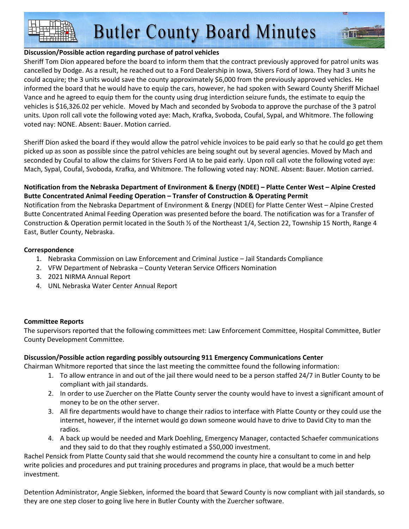**Butler County Board Minutes** 

## **Discussion/Possible action regarding purchase of patrol vehicles**

Sheriff Tom Dion appeared before the board to inform them that the contract previously approved for patrol units was cancelled by Dodge. As a result, he reached out to a Ford Dealership in Iowa, Stivers Ford of Iowa. They had 3 units he could acquire; the 3 units would save the county approximately \$6,000 from the previously approved vehicles. He informed the board that he would have to equip the cars, however, he had spoken with Seward County Sheriff Michael Vance and he agreed to equip them for the county using drug interdiction seizure funds, the estimate to equip the vehicles is \$16,326.02 per vehicle. Moved by Mach and seconded by Svoboda to approve the purchase of the 3 patrol units. Upon roll call vote the following voted aye: Mach, Krafka, Svoboda, Coufal, Sypal, and Whitmore. The following voted nay: NONE. Absent: Bauer. Motion carried.

Sheriff Dion asked the board if they would allow the patrol vehicle invoices to be paid early so that he could go get them picked up as soon as possible since the patrol vehicles are being sought out by several agencies. Moved by Mach and seconded by Coufal to allow the claims for Stivers Ford IA to be paid early. Upon roll call vote the following voted aye: Mach, Sypal, Coufal, Svoboda, Krafka, and Whitmore. The following voted nay: NONE. Absent: Bauer. Motion carried.

# **Notification from the Nebraska Department of Environment & Energy (NDEE) – Platte Center West – Alpine Crested Butte Concentrated Animal Feeding Operation – Transfer of Construction & Operating Permit**

Notification from the Nebraska Department of Environment & Energy (NDEE) for Platte Center West – Alpine Crested Butte Concentrated Animal Feeding Operation was presented before the board. The notification was for a Transfer of Construction & Operation permit located in the South ½ of the Northeast 1/4, Section 22, Township 15 North, Range 4 East, Butler County, Nebraska.

## **Correspondence**

- 1. Nebraska Commission on Law Enforcement and Criminal Justice Jail Standards Compliance
- 2. VFW Department of Nebraska County Veteran Service Officers Nomination
- 3. 2021 NIRMA Annual Report
- 4. UNL Nebraska Water Center Annual Report

# **Committee Reports**

The supervisors reported that the following committees met: Law Enforcement Committee, Hospital Committee, Butler County Development Committee.

# **Discussion/Possible action regarding possibly outsourcing 911 Emergency Communications Center**

Chairman Whitmore reported that since the last meeting the committee found the following information:

- 1. To allow entrance in and out of the jail there would need to be a person staffed 24/7 in Butler County to be compliant with jail standards.
- 2. In order to use Zuercher on the Platte County server the county would have to invest a significant amount of money to be on the other server.
- 3. All fire departments would have to change their radios to interface with Platte County or they could use the internet, however, if the internet would go down someone would have to drive to David City to man the radios.
- 4. A back up would be needed and Mark Doehling, Emergency Manager, contacted Schaefer communications and they said to do that they roughly estimated a \$50,000 investment.

Rachel Pensick from Platte County said that she would recommend the county hire a consultant to come in and help write policies and procedures and put training procedures and programs in place, that would be a much better investment.

Detention Administrator, Angie Siebken, informed the board that Seward County is now compliant with jail standards, so they are one step closer to going live here in Butler County with the Zuercher software.